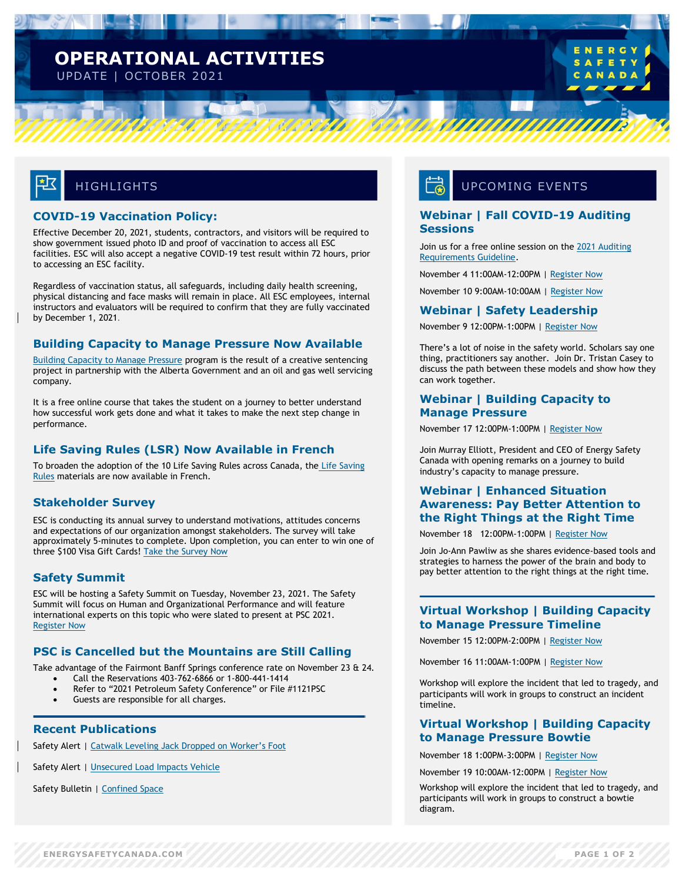### **OPERATIONAL ACTIVITIES** UPDATE | OCTOBER 2021

## **HIGHLIGHTS**

### **COVID-19 Vaccination Policy:**

Effective December 20, 2021, students, contractors, and visitors will be required to show government issued photo ID and proof of vaccination to access all ESC facilities. ESC will also accept a negative COVID-19 test result within 72 hours, prior to accessing an ESC facility.

Regardless of vaccination status, all safeguards, including daily health screening, physical distancing and face masks will remain in place. All ESC employees, internal instructors and evaluators will be required to confirm that they are fully vaccinated by December 1, 2021.

### **Building Capacity to Manage Pressure Now Available**

[Building Capacity to Manage Pressure](https://www.energysafetycanada.com/Standards/Programs/Building-Capacity-to-Manage-Pressure) program is the result of a creative sentencing project in partnership with the Alberta Government and an oil and gas well servicing company.

It is a free online course that takes the student on a journey to better understand how successful work gets done and what it takes to make the next step change in performance.

### **Life Saving Rules (LSR) Now Available in French**

To broaden the adoption of the 10 [Life Saving](https://www.energysafetycanada.com/Standards/Industry_Standards/Life-Saving-Rules) Rules across Canada, the Life Saving [Rules](https://www.energysafetycanada.com/Standards/Industry_Standards/Life-Saving-Rules) materials are now available in French.

### **Stakeholder Survey**

ESC is conducting its annual survey to understand motivations, attitudes concerns and expectations of our organization amongst stakeholders. The survey will take approximately 5-minutes to complete. Upon completion, you can enter to win one of three \$100 Visa Gift Cards! [Take the Survey Now](https://www.surveymonkey.com/r/ESCSurvey2021)

### **Safety Summit**

ESC will be hosting a Safety Summit on Tuesday, November 23, 2021. The Safety Summit will focus on Human and Organizational Performance and will feature international experts on this topic who were slated to present at PSC 2021. [Register Now](https://energysafetycanada.zoom.us/webinar/register/1716346719395/WN_qPKxHoi7RG-HWcS2E4dstQ)

### **PSC is Cancelled but the Mountains are Still Calling**

Take advantage of the Fairmont Banff Springs conference rate on November 23 & 24.

- Call the Reservations 403-762-6866 or 1-800-441-1414
- Refer to "2021 Petroleum Safety Conference" or File #1121PSC
- Guests are responsible for all charges.

### **Recent Publications**

Safety Alert | [Catwalk Leveling Jack Dropped on Worker's Foot](https://www.energysafetycanada.com/Resource/Safety-Alerts/2021/Catwalk-Leveling-Jack-Dropped-on-Worker-s-Foot)

Safety Alert | [Unsecured Load Impacts Vehicle](https://www.energysafetycanada.com/Resource/Safety-Alerts/2021/Unsecured-Load-Impacts-Vehicle)

Safety Bulletin | [Confined Space](https://www.energysafetycanada.com/Resource/Safety-Bulletins/2021/Confined-Space-Issue-04-2021)

### UPCOMING EVENTS

*UUUUUU* 

### **Webinar | Fall COVID-19 Auditing Sessions**

Join us for a free online session on the [2021 Auditing](https://www.energysafetycanada.com/COR/Materials-Resources/2021-Auditing-Requirements)  [Requirements Guideline.](https://www.energysafetycanada.com/COR/Materials-Resources/2021-Auditing-Requirements)

November 4 11:00AM-12:00PM | [Register Now](https://my.energysafetycanada.com/imis/ESC/Events/Event_Display.aspx?EventKey=3113500054)

November 10 9:00AM-10:00AM [| Register Now](https://my.energysafetycanada.com/imis/ESC/Events/Event_Display.aspx?EventKey=3113500055)

#### **Webinar | Safety Leadership**

November 9 12:00PM-1:00PM [| Register Now](https://my.energysafetycanada.com/imis/ESC/Events/Event_Display.aspx?EventKey=5021700078)

There's a lot of noise in the safety world. Scholars say one thing, practitioners say another. Join Dr. Tristan Casey to discuss the path between these models and show how they can work together.

### **Webinar | Building Capacity to Manage Pressure**

November 17 12:00PM-1:00PM | [Register Now](https://my.energysafetycanada.com/imis/ESC/Events/Event_Display.aspx?EventKey=5021700079)

Join Murray Elliott, President and CEO of Energy Safety Canada with opening remarks on a journey to build industry's capacity to manage pressure.

### **Webinar | Enhanced Situation Awareness: Pay Better Attention to the Right Things at the Right Time**

November 18 12:00PM-1:00PM [| Register Now](https://my.energysafetycanada.com/imis/ESC/Events/Event_Display.aspx?EventKey=5021700080)

Join Jo-Ann Pawliw as she shares evidence-based tools and strategies to harness the power of the brain and body to pay better attention to the right things at the right time.

### **Virtual Workshop | Building Capacity to Manage Pressure Timeline**

November 15 12:00PM-2:00PM [| Register Now](https://my.energysafetycanada.com/imis/ESC/Events/Event_Display.aspx?EventKey=5021700073)

November 16 11:00AM-1:00PM | [Register Now](https://my.energysafetycanada.com/imis/ESC/Events/Event_Display.aspx?EventKey=5021700074)

Workshop will explore the incident that led to tragedy, and participants will work in groups to construct an incident timeline.

### **Virtual Workshop | Building Capacity to Manage Pressure Bowtie**

November 18 1:00PM-3:00PM [| Register Now](https://my.energysafetycanada.com/imis/ESC/Events/Event_Display.aspx?EventKey=5021700075)

November 19 10:00AM-12:00PM | [Register Now](https://my.energysafetycanada.com/imis/ESC/Events/Event_Display.aspx?EventKey=5021700076)

Workshop will explore the incident that led to tragedy, and participants will work in groups to construct a bowtie diagram.